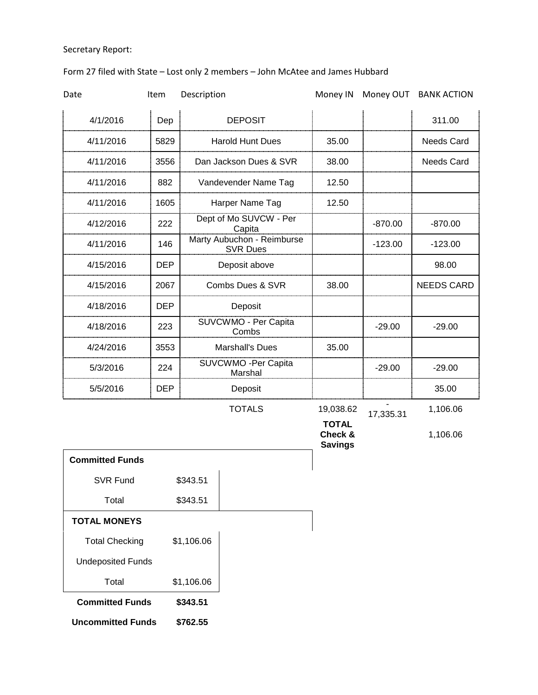## Secretary Report:

## Form 27 filed with State – Lost only 2 members – John McAtee and James Hubbard

| Date                   | Item       | Description                                   |               | Money IN                                  |           | Money OUT BANK ACTION |
|------------------------|------------|-----------------------------------------------|---------------|-------------------------------------------|-----------|-----------------------|
| 4/1/2016               | Dep        | <b>DEPOSIT</b>                                |               |                                           |           | 311.00                |
| 4/11/2016              | 5829       | <b>Harold Hunt Dues</b>                       |               | 35.00                                     |           | <b>Needs Card</b>     |
| 4/11/2016              | 3556       | Dan Jackson Dues & SVR                        |               | 38.00                                     |           | <b>Needs Card</b>     |
| 4/11/2016              | 882        | Vandevender Name Tag                          |               | 12.50                                     |           |                       |
| 4/11/2016              | 1605       | Harper Name Tag                               |               | 12.50                                     |           |                       |
| 4/12/2016              | 222        | Dept of Mo SUVCW - Per<br>Capita              |               |                                           | $-870.00$ | $-870.00$             |
| 4/11/2016              | 146        | Marty Aubuchon - Reimburse<br><b>SVR Dues</b> |               |                                           | $-123.00$ | $-123.00$             |
| 4/15/2016              | <b>DEP</b> | Deposit above                                 |               |                                           |           | 98.00                 |
| 4/15/2016              | 2067       | Combs Dues & SVR                              |               | 38.00                                     |           | <b>NEEDS CARD</b>     |
| 4/18/2016              | <b>DEP</b> | Deposit                                       |               |                                           |           |                       |
| 4/18/2016              | 223        | SUVCWMO - Per Capita<br>Combs                 |               |                                           | $-29.00$  | $-29.00$              |
| 4/24/2016              | 3553       | <b>Marshall's Dues</b>                        |               | 35.00                                     |           |                       |
| 5/3/2016               | 224        | SUVCWMO -Per Capita<br>Marshal                |               |                                           | $-29.00$  | $-29.00$              |
| 5/5/2016               | <b>DEP</b> | Deposit                                       |               |                                           |           | 35.00                 |
|                        |            |                                               | <b>TOTALS</b> | 19,038.62                                 | 17,335.31 | 1,106.06              |
|                        |            |                                               |               | <b>TOTAL</b><br>Check &<br><b>Savings</b> |           | 1,106.06              |
| <b>Committed Funds</b> |            |                                               |               |                                           |           |                       |
| <b>SVR Fund</b>        |            | \$343.51                                      |               |                                           |           |                       |
| Total                  |            | \$343.51                                      |               |                                           |           |                       |

| <b>TOTAL MONEYS</b>      |            |  |  |  |
|--------------------------|------------|--|--|--|
| <b>Total Checking</b>    | \$1,106.06 |  |  |  |
| <b>Undeposited Funds</b> |            |  |  |  |

Total \$1,106.06 **Committed Funds \$343.51**

**Uncommitted Funds \$762.55**